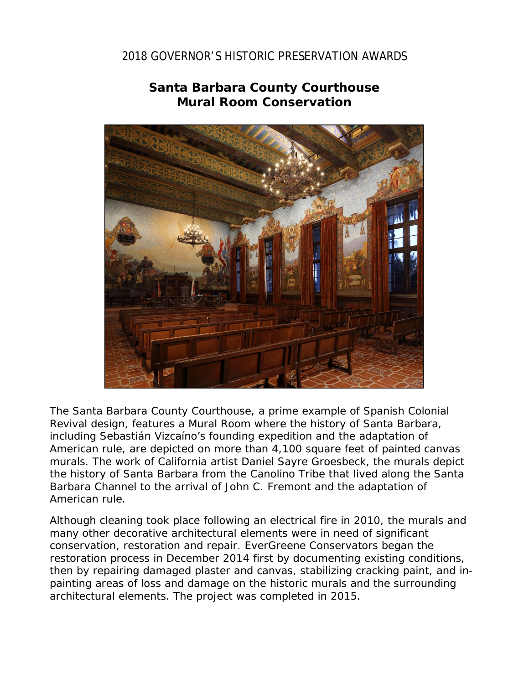## 2018 GOVERNOR'S HISTORIC PRESERVATION AWARDS



## **Santa Barbara County Courthouse Mural Room Conservation**

The Santa Barbara County Courthouse, a prime example of Spanish Colonial Revival design, features a Mural Room where the history of Santa Barbara, including Sebastián Vizcaíno's founding expedition and the adaptation of American rule, are depicted on more than 4,100 square feet of painted canvas murals. The work of California artist Daniel Sayre Groesbeck, the murals depict the history of Santa Barbara from the Canolino Tribe that lived along the Santa Barbara Channel to the arrival of John C. Fremont and the adaptation of American rule.

Although cleaning took place following an electrical fire in 2010, the murals and many other decorative architectural elements were in need of significant conservation, restoration and repair. EverGreene Conservators began the restoration process in December 2014 first by documenting existing conditions, then by repairing damaged plaster and canvas, stabilizing cracking paint, and inpainting areas of loss and damage on the historic murals and the surrounding architectural elements. The project was completed in 2015.